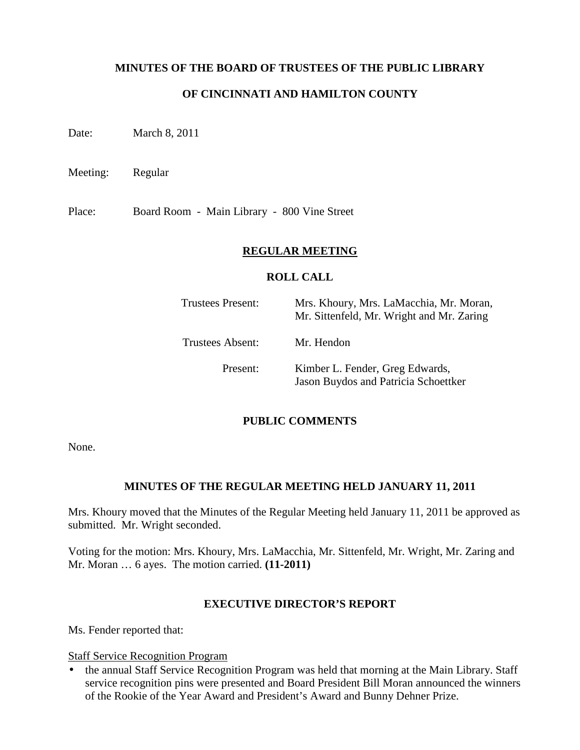### **MINUTES OF THE BOARD OF TRUSTEES OF THE PUBLIC LIBRARY**

## **OF CINCINNATI AND HAMILTON COUNTY**

Date: March 8, 2011

Meeting: Regular

Place: Board Room - Main Library - 800 Vine Street

#### **REGULAR MEETING**

#### **ROLL CALL**

| Trustees Present:       | Mrs. Khoury, Mrs. LaMacchia, Mr. Moran,<br>Mr. Sittenfeld, Mr. Wright and Mr. Zaring |
|-------------------------|--------------------------------------------------------------------------------------|
| <b>Trustees Absent:</b> | Mr. Hendon                                                                           |
| Present:                | Kimber L. Fender, Greg Edwards,<br>Jason Buydos and Patricia Schoettker              |

#### **PUBLIC COMMENTS**

None.

#### **MINUTES OF THE REGULAR MEETING HELD JANUARY 11, 2011**

Mrs. Khoury moved that the Minutes of the Regular Meeting held January 11, 2011 be approved as submitted. Mr. Wright seconded.

Voting for the motion: Mrs. Khoury, Mrs. LaMacchia, Mr. Sittenfeld, Mr. Wright, Mr. Zaring and Mr. Moran … 6 ayes. The motion carried. **(11-2011)**

#### **EXECUTIVE DIRECTOR'S REPORT**

Ms. Fender reported that:

Staff Service Recognition Program

• the annual Staff Service Recognition Program was held that morning at the Main Library. Staff service recognition pins were presented and Board President Bill Moran announced the winners of the Rookie of the Year Award and President's Award and Bunny Dehner Prize.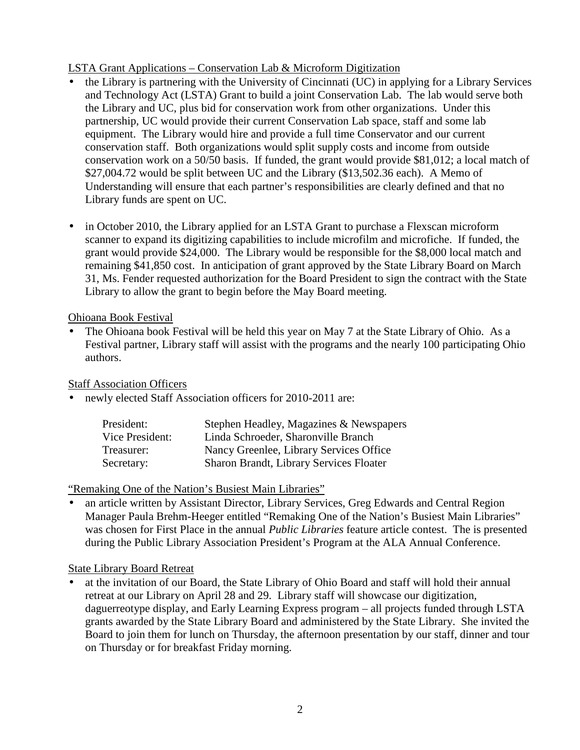# LSTA Grant Applications – Conservation Lab & Microform Digitization

- the Library is partnering with the University of Cincinnati (UC) in applying for a Library Services and Technology Act (LSTA) Grant to build a joint Conservation Lab. The lab would serve both the Library and UC, plus bid for conservation work from other organizations. Under this partnership, UC would provide their current Conservation Lab space, staff and some lab equipment. The Library would hire and provide a full time Conservator and our current conservation staff. Both organizations would split supply costs and income from outside conservation work on a 50/50 basis. If funded, the grant would provide \$81,012; a local match of \$27,004.72 would be split between UC and the Library (\$13,502.36 each). A Memo of Understanding will ensure that each partner's responsibilities are clearly defined and that no Library funds are spent on UC.
- in October 2010, the Library applied for an LSTA Grant to purchase a Flexscan microform scanner to expand its digitizing capabilities to include microfilm and microfiche. If funded, the grant would provide \$24,000. The Library would be responsible for the \$8,000 local match and remaining \$41,850 cost. In anticipation of grant approved by the State Library Board on March 31, Ms. Fender requested authorization for the Board President to sign the contract with the State Library to allow the grant to begin before the May Board meeting.

# Ohioana Book Festival

• The Ohioana book Festival will be held this year on May 7 at the State Library of Ohio. As a Festival partner, Library staff will assist with the programs and the nearly 100 participating Ohio authors.

Staff Association Officers

• newly elected Staff Association officers for 2010-2011 are:

| President:      | Stephen Headley, Magazines & Newspapers |
|-----------------|-----------------------------------------|
| Vice President: | Linda Schroeder, Sharonville Branch     |
| Treasurer:      | Nancy Greenlee, Library Services Office |
| Secretary:      | Sharon Brandt, Library Services Floater |

"Remaking One of the Nation's Busiest Main Libraries"

• an article written by Assistant Director, Library Services, Greg Edwards and Central Region Manager Paula Brehm-Heeger entitled "Remaking One of the Nation's Busiest Main Libraries" was chosen for First Place in the annual *Public Libraries* feature article contest. The is presented during the Public Library Association President's Program at the ALA Annual Conference.

# State Library Board Retreat

• at the invitation of our Board, the State Library of Ohio Board and staff will hold their annual retreat at our Library on April 28 and 29. Library staff will showcase our digitization, daguerreotype display, and Early Learning Express program – all projects funded through LSTA grants awarded by the State Library Board and administered by the State Library. She invited the Board to join them for lunch on Thursday, the afternoon presentation by our staff, dinner and tour on Thursday or for breakfast Friday morning.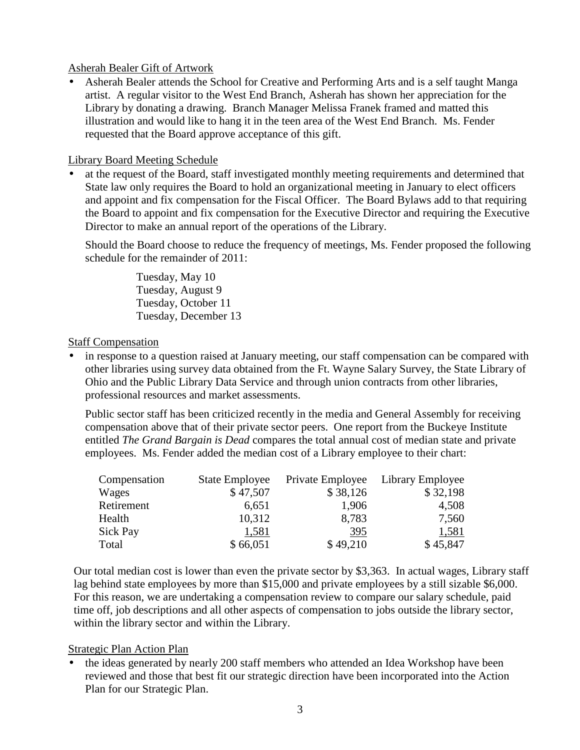### Asherah Bealer Gift of Artwork

• Asherah Bealer attends the School for Creative and Performing Arts and is a self taught Manga artist. A regular visitor to the West End Branch, Asherah has shown her appreciation for the Library by donating a drawing. Branch Manager Melissa Franek framed and matted this illustration and would like to hang it in the teen area of the West End Branch. Ms. Fender requested that the Board approve acceptance of this gift.

### Library Board Meeting Schedule

• at the request of the Board, staff investigated monthly meeting requirements and determined that State law only requires the Board to hold an organizational meeting in January to elect officers and appoint and fix compensation for the Fiscal Officer. The Board Bylaws add to that requiring the Board to appoint and fix compensation for the Executive Director and requiring the Executive Director to make an annual report of the operations of the Library.

Should the Board choose to reduce the frequency of meetings, Ms. Fender proposed the following schedule for the remainder of 2011:

> Tuesday, May 10 Tuesday, August 9 Tuesday, October 11 Tuesday, December 13

### **Staff Compensation**

in response to a question raised at January meeting, our staff compensation can be compared with other libraries using survey data obtained from the Ft. Wayne Salary Survey, the State Library of Ohio and the Public Library Data Service and through union contracts from other libraries, professional resources and market assessments.

Public sector staff has been criticized recently in the media and General Assembly for receiving compensation above that of their private sector peers. One report from the Buckeye Institute entitled *The Grand Bargain is Dead* compares the total annual cost of median state and private employees. Ms. Fender added the median cost of a Library employee to their chart:

| Compensation | <b>State Employee</b> | Private Employee | Library Employee |
|--------------|-----------------------|------------------|------------------|
| Wages        | \$47,507              | \$38,126         | \$32,198         |
| Retirement   | 6,651                 | 1,906            | 4,508            |
| Health       | 10,312                | 8,783            | 7,560            |
| Sick Pay     | 1,581                 | 395              | 1,581            |
| Total        | \$66,051              | \$49,210         | \$45,847         |

Our total median cost is lower than even the private sector by \$3,363. In actual wages, Library staff lag behind state employees by more than \$15,000 and private employees by a still sizable \$6,000. For this reason, we are undertaking a compensation review to compare our salary schedule, paid time off, job descriptions and all other aspects of compensation to jobs outside the library sector, within the library sector and within the Library.

#### Strategic Plan Action Plan

• the ideas generated by nearly 200 staff members who attended an Idea Workshop have been reviewed and those that best fit our strategic direction have been incorporated into the Action Plan for our Strategic Plan.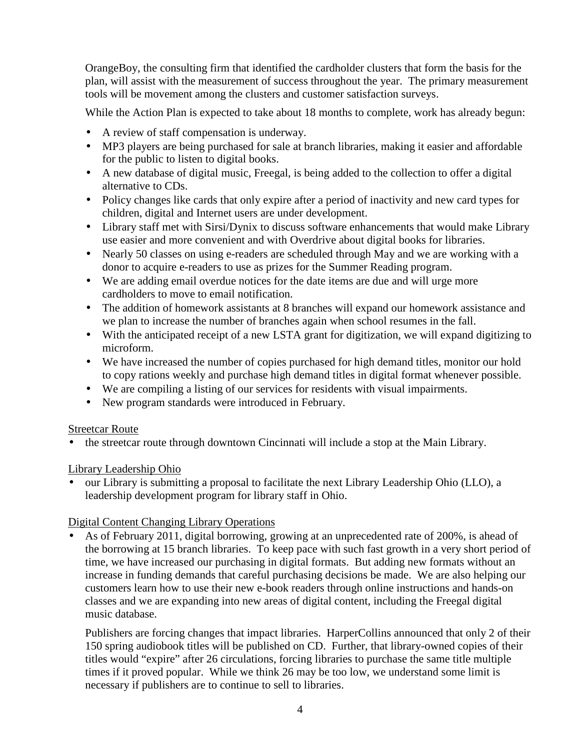OrangeBoy, the consulting firm that identified the cardholder clusters that form the basis for the plan, will assist with the measurement of success throughout the year. The primary measurement tools will be movement among the clusters and customer satisfaction surveys.

While the Action Plan is expected to take about 18 months to complete, work has already begun:

- A review of staff compensation is underway.
- MP3 players are being purchased for sale at branch libraries, making it easier and affordable for the public to listen to digital books.
- A new database of digital music, Freegal, is being added to the collection to offer a digital alternative to CDs.
- Policy changes like cards that only expire after a period of inactivity and new card types for children, digital and Internet users are under development.
- Library staff met with Sirsi/Dynix to discuss software enhancements that would make Library use easier and more convenient and with Overdrive about digital books for libraries.
- Nearly 50 classes on using e-readers are scheduled through May and we are working with a donor to acquire e-readers to use as prizes for the Summer Reading program.
- We are adding email overdue notices for the date items are due and will urge more cardholders to move to email notification.
- The addition of homework assistants at 8 branches will expand our homework assistance and we plan to increase the number of branches again when school resumes in the fall.
- With the anticipated receipt of a new LSTA grant for digitization, we will expand digitizing to microform.
- We have increased the number of copies purchased for high demand titles, monitor our hold to copy rations weekly and purchase high demand titles in digital format whenever possible.
- We are compiling a listing of our services for residents with visual impairments.
- New program standards were introduced in February.

# Streetcar Route

• the streetcar route through downtown Cincinnati will include a stop at the Main Library.

# Library Leadership Ohio

• our Library is submitting a proposal to facilitate the next Library Leadership Ohio (LLO), a leadership development program for library staff in Ohio.

# Digital Content Changing Library Operations

• As of February 2011, digital borrowing, growing at an unprecedented rate of 200%, is ahead of the borrowing at 15 branch libraries. To keep pace with such fast growth in a very short period of time, we have increased our purchasing in digital formats. But adding new formats without an increase in funding demands that careful purchasing decisions be made. We are also helping our customers learn how to use their new e-book readers through online instructions and hands-on classes and we are expanding into new areas of digital content, including the Freegal digital music database.

Publishers are forcing changes that impact libraries. HarperCollins announced that only 2 of their 150 spring audiobook titles will be published on CD. Further, that library-owned copies of their titles would "expire" after 26 circulations, forcing libraries to purchase the same title multiple times if it proved popular. While we think 26 may be too low, we understand some limit is necessary if publishers are to continue to sell to libraries.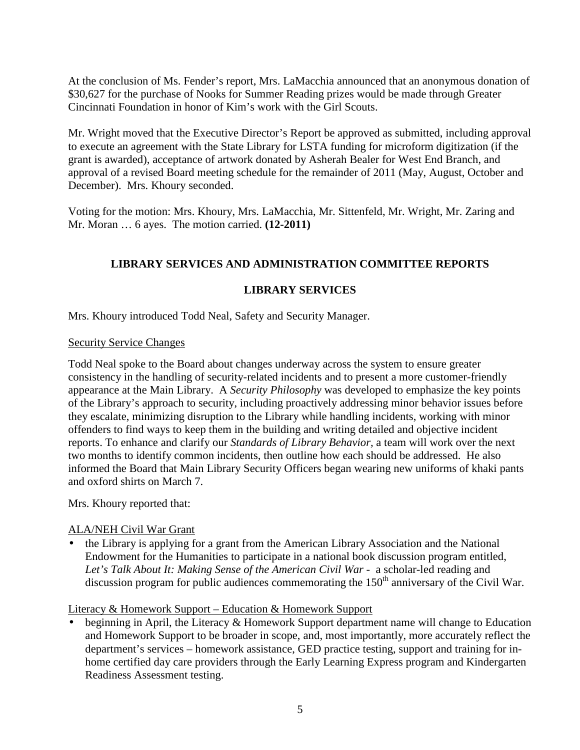At the conclusion of Ms. Fender's report, Mrs. LaMacchia announced that an anonymous donation of \$30,627 for the purchase of Nooks for Summer Reading prizes would be made through Greater Cincinnati Foundation in honor of Kim's work with the Girl Scouts.

Mr. Wright moved that the Executive Director's Report be approved as submitted, including approval to execute an agreement with the State Library for LSTA funding for microform digitization (if the grant is awarded), acceptance of artwork donated by Asherah Bealer for West End Branch, and approval of a revised Board meeting schedule for the remainder of 2011 (May, August, October and December). Mrs. Khoury seconded.

Voting for the motion: Mrs. Khoury, Mrs. LaMacchia, Mr. Sittenfeld, Mr. Wright, Mr. Zaring and Mr. Moran … 6 ayes. The motion carried. **(12-2011)** 

# **LIBRARY SERVICES AND ADMINISTRATION COMMITTEE REPORTS**

# **LIBRARY SERVICES**

Mrs. Khoury introduced Todd Neal, Safety and Security Manager.

# Security Service Changes

Todd Neal spoke to the Board about changes underway across the system to ensure greater consistency in the handling of security-related incidents and to present a more customer-friendly appearance at the Main Library. A *Security Philosophy* was developed to emphasize the key points of the Library's approach to security, including proactively addressing minor behavior issues before they escalate, minimizing disruption to the Library while handling incidents, working with minor offenders to find ways to keep them in the building and writing detailed and objective incident reports. To enhance and clarify our *Standards of Library Behavior,* a team will work over the next two months to identify common incidents, then outline how each should be addressed. He also informed the Board that Main Library Security Officers began wearing new uniforms of khaki pants and oxford shirts on March 7.

Mrs. Khoury reported that:

# ALA/NEH Civil War Grant

• the Library is applying for a grant from the American Library Association and the National Endowment for the Humanities to participate in a national book discussion program entitled, Let's Talk About It: Making Sense of the American Civil War - a scholar-led reading and discussion program for public audiences commemorating the  $150<sup>th</sup>$  anniversary of the Civil War.

# Literacy & Homework Support – Education & Homework Support

• beginning in April, the Literacy & Homework Support department name will change to Education and Homework Support to be broader in scope, and, most importantly, more accurately reflect the department's services – homework assistance, GED practice testing, support and training for inhome certified day care providers through the Early Learning Express program and Kindergarten Readiness Assessment testing.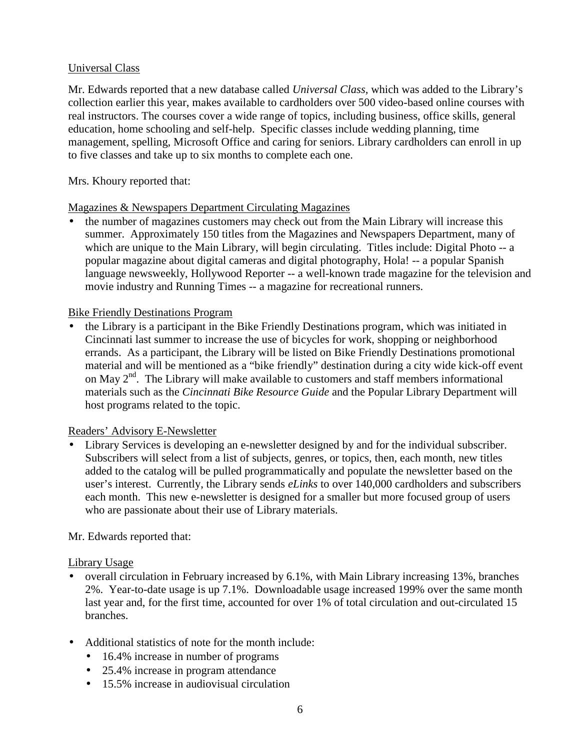# Universal Class

Mr. Edwards reported that a new database called *Universal Class,* which was added to the Library's collection earlier this year, makes available to cardholders over 500 video-based online courses with real instructors. The courses cover a wide range of topics, including business, office skills, general education, home schooling and self-help. Specific classes include wedding planning, time management, spelling, Microsoft Office and caring for seniors. Library cardholders can enroll in up to five classes and take up to six months to complete each one.

### Mrs. Khoury reported that:

### Magazines & Newspapers Department Circulating Magazines

• the number of magazines customers may check out from the Main Library will increase this summer. Approximately 150 titles from the Magazines and Newspapers Department, many of which are unique to the Main Library, will begin circulating. Titles include: Digital Photo -- a popular magazine about digital cameras and digital photography, Hola! -- a popular Spanish language newsweekly, Hollywood Reporter -- a well-known trade magazine for the television and movie industry and Running Times -- a magazine for recreational runners.

### Bike Friendly Destinations Program

• the Library is a participant in the Bike Friendly Destinations program, which was initiated in Cincinnati last summer to increase the use of bicycles for work, shopping or neighborhood errands. As a participant, the Library will be listed on Bike Friendly Destinations promotional material and will be mentioned as a "bike friendly" destination during a city wide kick-off event on May  $2<sup>nd</sup>$ . The Library will make available to customers and staff members informational materials such as the *Cincinnati Bike Resource Guide* and the Popular Library Department will host programs related to the topic.

#### Readers' Advisory E-Newsletter

• Library Services is developing an e-newsletter designed by and for the individual subscriber. Subscribers will select from a list of subjects, genres, or topics, then, each month, new titles added to the catalog will be pulled programmatically and populate the newsletter based on the user's interest. Currently, the Library sends *eLinks* to over 140,000 cardholders and subscribers each month. This new e-newsletter is designed for a smaller but more focused group of users who are passionate about their use of Library materials.

# Mr. Edwards reported that:

#### Library Usage

- overall circulation in February increased by 6.1%, with Main Library increasing 13%, branches 2%. Year-to-date usage is up 7.1%. Downloadable usage increased 199% over the same month last year and, for the first time, accounted for over 1% of total circulation and out-circulated 15 branches.
- Additional statistics of note for the month include:
	- 16.4% increase in number of programs
	- 25.4% increase in program attendance
	- 15.5% increase in audiovisual circulation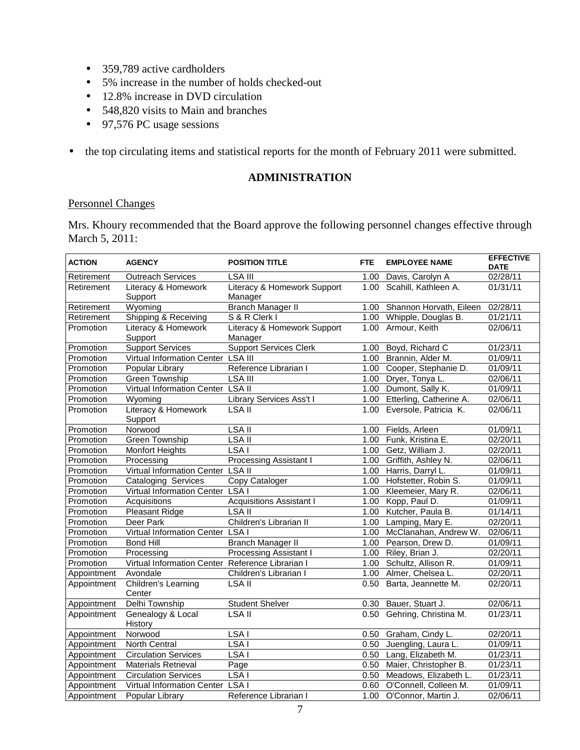- 359,789 active cardholders
- 5% increase in the number of holds checked-out
- 12.8% increase in DVD circulation
- 548,820 visits to Main and branches
- 97,576 PC usage sessions
- the top circulating items and statistical reports for the month of February 2011 were submitted.

## **ADMINISTRATION**

### Personnel Changes

Mrs. Khoury recommended that the Board approve the following personnel changes effective through March 5, 2011:

| <b>ACTION</b> | <b>AGENCY</b>                                    | <b>POSITION TITLE</b>                  | <b>FTE</b>        | <b>EMPLOYEE NAME</b>         | <b>EFFECTIVE</b><br><b>DATE</b> |
|---------------|--------------------------------------------------|----------------------------------------|-------------------|------------------------------|---------------------------------|
| Retirement    | <b>Outreach Services</b>                         | <b>LSA III</b>                         | 1.00              | Davis, Carolyn A             | 02/28/11                        |
| Retirement    | Literacy & Homework<br>Support                   | Literacy & Homework Support<br>Manager |                   | 1.00 Scahill, Kathleen A.    | 01/31/11                        |
| Retirement    | Wyoming                                          | <b>Branch Manager II</b>               | 1.00              | Shannon Horvath, Eileen      | 02/28/11                        |
| Retirement    | Shipping & Receiving                             | S & R Clerk I                          |                   | 1.00 Whipple, Douglas B.     | 01/21/11                        |
| Promotion     | Literacy & Homework<br>Support                   | Literacy & Homework Support<br>Manager |                   | 1.00 Armour, Keith           | 02/06/11                        |
| Promotion     | <b>Support Services</b>                          | <b>Support Services Clerk</b>          | 1.00              | Boyd, Richard C              | 01/23/11                        |
| Promotion     | Virtual Information Center LSA III               |                                        |                   | 1.00 Brannin, Alder M.       | 01/09/11                        |
| Promotion     | Popular Library                                  | Reference Librarian I                  |                   | 1.00 Cooper, Stephanie D.    | 01/09/11                        |
| Promotion     | <b>Green Township</b>                            | <b>LSA III</b>                         |                   | 1.00 Dryer, Tonya L.         | 02/06/11                        |
| Promotion     | Virtual Information Center LSA II                |                                        |                   | 1.00 Dumont, Sally K.        | 01/09/11                        |
| Promotion     | Wyoming                                          | Library Services Ass't I               |                   | 1.00 Etterling, Catherine A. | 02/06/11                        |
| Promotion     | Literacy & Homework<br>Support                   | LSA II                                 |                   | 1.00 Eversole, Patricia K.   | 02/06/11                        |
| Promotion     | Norwood                                          | LSA <sub>II</sub>                      | 1.00              | Fields, Arleen               | 01/09/11                        |
| Promotion     | <b>Green Township</b>                            | LSA <sub>II</sub>                      |                   | 1.00 Funk, Kristina E.       | 02/20/11                        |
| Promotion     | <b>Monfort Heights</b>                           | LSA <sub>I</sub>                       |                   | 1.00 Getz, William J.        | 02/20/11                        |
| Promotion     | Processing                                       | Processing Assistant I                 |                   | 1.00 Griffith, Ashley N.     | 02/06/11                        |
| Promotion     | Virtual Information Center LSA II                |                                        |                   | 1.00 Harris, Darryl L.       | 01/09/11                        |
| Promotion     | <b>Cataloging Services</b>                       | Copy Cataloger                         |                   | 1.00 Hofstetter, Robin S.    | 01/09/11                        |
| Promotion     | Virtual Information Center                       | LSA <sub>I</sub>                       |                   | 1.00 Kleemeier, Mary R.      | 02/06/11                        |
| Promotion     | Acquisitions                                     | <b>Acquisitions Assistant I</b>        |                   | 1.00 Kopp, Paul D.           | 01/09/11                        |
| Promotion     | <b>Pleasant Ridge</b>                            | LSA II                                 |                   | 1.00 Kutcher, Paula B.       | 01/14/11                        |
| Promotion     | Deer Park                                        | Children's Librarian II                |                   | 1.00 Lamping, Mary E.        | 02/20/11                        |
| Promotion     | Virtual Information Center LSA I                 |                                        |                   | 1.00 McClanahan, Andrew W.   | 02/06/11                        |
| Promotion     | <b>Bond Hill</b>                                 | <b>Branch Manager II</b>               |                   | 1.00 Pearson, Drew D.        | 01/09/11                        |
| Promotion     | Processing                                       | <b>Processing Assistant I</b>          | 1.00              | Riley, Brian J.              | 02/20/11                        |
| Promotion     | Virtual Information Center Reference Librarian I |                                        | 1.00 <sub>1</sub> | Schultz, Allison R.          | 01/09/11                        |
| Appointment   | Avondale                                         | Children's Librarian I                 |                   | 1.00 Almer, Chelsea L.       | 02/20/11                        |
| Appointment   | Children's Learning<br>Center                    | LSA II                                 |                   | 0.50 Barta, Jeannette M.     | 02/20/11                        |
| Appointment   | Delhi Township                                   | <b>Student Shelver</b>                 | 0.30              | Bauer, Stuart J.             | 02/06/11                        |
| Appointment   | Genealogy & Local<br>History                     | LSA <sub>II</sub>                      | 0.50              | Gehring, Christina M.        | 01/23/11                        |
| Appointment   | Norwood                                          | LSA <sub>I</sub>                       | 0.50              | Graham, Cindy L.             | 02/20/11                        |
| Appointment   | <b>North Central</b>                             | LSA <sub>I</sub>                       |                   | 0.50 Juengling, Laura L.     | 01/09/11                        |
| Appointment   | <b>Circulation Services</b>                      | LSA <sub>I</sub>                       |                   | 0.50 Lang, Elizabeth M.      | $\overline{01/23/1}$ 1          |
| Appointment   | <b>Materials Retrieval</b>                       | Page                                   |                   | 0.50 Maier, Christopher B.   | 01/23/11                        |
| Appointment   | <b>Circulation Services</b>                      | LSA <sub>I</sub>                       |                   | 0.50 Meadows, Elizabeth L.   | 01/23/11                        |
| Appointment   | Virtual Information Center LSA I                 |                                        |                   | 0.60 O'Connell, Colleen M.   | 01/09/11                        |
| Appointment   | Popular Library                                  | Reference Librarian I                  | 1.00              | O'Connor, Martin J.          | 02/06/11                        |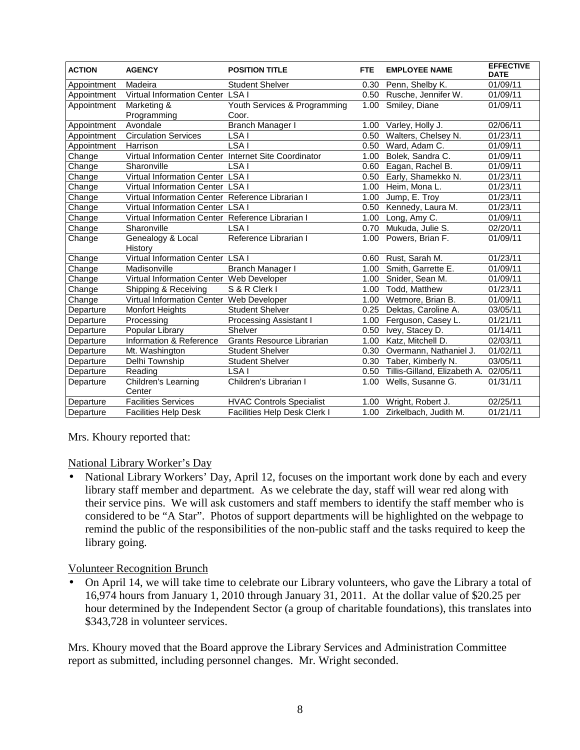| <b>ACTION</b> | <b>AGENCY</b>                                        | <b>POSITION TITLE</b>                 | <b>FTE</b> | <b>EMPLOYEE NAME</b>                  | <b>EFFECTIVE</b><br><b>DATE</b> |
|---------------|------------------------------------------------------|---------------------------------------|------------|---------------------------------------|---------------------------------|
| Appointment   | Madeira                                              | <b>Student Shelver</b>                | 0.30       | Penn, Shelby K.                       | 01/09/11                        |
| Appointment   | Virtual Information Center LSA I                     |                                       |            | 0.50 Rusche, Jennifer W.              | 01/09/11                        |
| Appointment   | Marketing &<br>Programming                           | Youth Services & Programming<br>Coor. |            | 1.00 Smiley, Diane                    | 01/09/11                        |
| Appointment   | Avondale                                             | <b>Branch Manager I</b>               |            | 1.00 Varley, Holly J.                 | 02/06/11                        |
| Appointment   | <b>Circulation Services</b>                          | LSA I                                 |            | 0.50 Walters, Chelsey N.              | 01/23/11                        |
| Appointment   | Harrison                                             | LSA <sub>I</sub>                      |            | 0.50 Ward, Adam C.                    | 01/09/11                        |
| Change        | Virtual Information Center Internet Site Coordinator |                                       | 1.00       | Bolek, Sandra C.                      | 01/09/11                        |
| Change        | Sharonville                                          | LSA I                                 | 0.60       | Eagan, Rachel B.                      | 01/09/11                        |
| Change        | Virtual Information Center LSA I                     |                                       | 0.50       | Early, Shamekko N.                    | 01/23/11                        |
| Change        | Virtual Information Center LSA I                     |                                       | 1.00       | Heim, Mona L.                         | 01/23/11                        |
| Change        | Virtual Information Center Reference Librarian I     |                                       | 1.00       | Jump, E. Troy                         | 01/23/11                        |
| Change        | Virtual Information Center LSA I                     |                                       |            | 0.50 Kennedy, Laura M.                | 01/23/11                        |
| Change        | Virtual Information Center Reference Librarian I     |                                       | 1.00       | Long, Amy C.                          | 01/09/11                        |
| Change        | Sharonville                                          | LSA I                                 | 0.70       | Mukuda, Julie S.                      | 02/20/11                        |
| Change        | Genealogy & Local<br>History                         | Reference Librarian I                 | 1.00       | Powers, Brian F.                      | 01/09/11                        |
| Change        | Virtual Information Center LSA I                     |                                       | 0.60       | Rust, Sarah M.                        | 01/23/11                        |
| Change        | Madisonville                                         | Branch Manager I                      |            | 1.00 Smith, Garrette E.               | 01/09/11                        |
| Change        | Virtual Information Center Web Developer             |                                       |            | 1.00 Snider, Sean M.                  | 01/09/11                        |
| Change        | Shipping & Receiving                                 | S & R Clerk I                         |            | 1.00 Todd, Matthew                    | 01/23/11                        |
| Change        | Virtual Information Center Web Developer             |                                       |            | 1.00 Wetmore, Brian B.                | 01/09/11                        |
| Departure     | <b>Monfort Heights</b>                               | <b>Student Shelver</b>                | 0.25       | Dektas, Caroline A.                   | 03/05/11                        |
| Departure     | Processing                                           | Processing Assistant I                | 1.00       | Ferguson, Casey L.                    | 01/21/11                        |
| Departure     | Popular Library                                      | Shelver                               | 0.50       | Ivey, Stacey D.                       | 01/14/11                        |
| Departure     | Information & Reference                              | Grants Resource Librarian             | 1.00       | Katz, Mitchell D.                     | 02/03/11                        |
| Departure     | Mt. Washington                                       | <b>Student Shelver</b>                | 0.30       | Overmann, Nathaniel J.                | 01/02/11                        |
| Departure     | Delhi Township                                       | <b>Student Shelver</b>                |            | 0.30 Taber, Kimberly N.               | 03/05/11                        |
| Departure     | Reading                                              | LSA I                                 | 0.50       | Tillis-Gilland, Elizabeth A. 02/05/11 |                                 |
| Departure     | Children's Learning<br>Center                        | Children's Librarian I                | 1.00       | Wells, Susanne G.                     | 01/31/11                        |
| Departure     | <b>Facilities Services</b>                           | <b>HVAC Controls Specialist</b>       | 1.00       | Wright, Robert J.                     | 02/25/11                        |
| Departure     | <b>Facilities Help Desk</b>                          | <b>Facilities Help Desk Clerk I</b>   | 1.00       | Zirkelbach, Judith M.                 | 01/21/11                        |

Mrs. Khoury reported that:

# National Library Worker's Day

• National Library Workers' Day, April 12, focuses on the important work done by each and every library staff member and department. As we celebrate the day, staff will wear red along with their service pins. We will ask customers and staff members to identify the staff member who is considered to be "A Star". Photos of support departments will be highlighted on the webpage to remind the public of the responsibilities of the non-public staff and the tasks required to keep the library going.

# Volunteer Recognition Brunch

• On April 14, we will take time to celebrate our Library volunteers, who gave the Library a total of 16,974 hours from January 1, 2010 through January 31, 2011. At the dollar value of \$20.25 per hour determined by the Independent Sector (a group of charitable foundations), this translates into \$343,728 in volunteer services.

Mrs. Khoury moved that the Board approve the Library Services and Administration Committee report as submitted, including personnel changes. Mr. Wright seconded.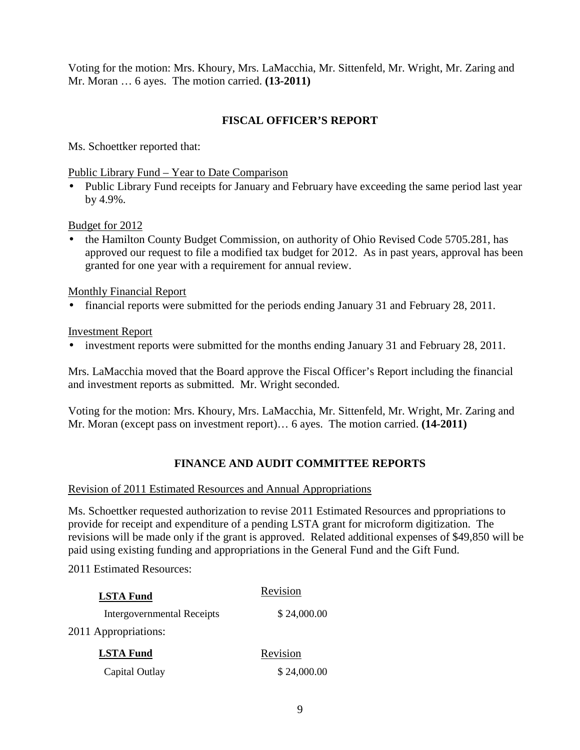Voting for the motion: Mrs. Khoury, Mrs. LaMacchia, Mr. Sittenfeld, Mr. Wright, Mr. Zaring and Mr. Moran … 6 ayes. The motion carried. **(13-2011)** 

# **FISCAL OFFICER'S REPORT**

Ms. Schoettker reported that:

Public Library Fund – Year to Date Comparison

• Public Library Fund receipts for January and February have exceeding the same period last year by 4.9%.

Budget for 2012

• the Hamilton County Budget Commission, on authority of Ohio Revised Code 5705.281, has approved our request to file a modified tax budget for 2012. As in past years, approval has been granted for one year with a requirement for annual review.

Monthly Financial Report

• financial reports were submitted for the periods ending January 31 and February 28, 2011.

Investment Report

• investment reports were submitted for the months ending January 31 and February 28, 2011.

Mrs. LaMacchia moved that the Board approve the Fiscal Officer's Report including the financial and investment reports as submitted. Mr. Wright seconded.

Voting for the motion: Mrs. Khoury, Mrs. LaMacchia, Mr. Sittenfeld, Mr. Wright, Mr. Zaring and Mr. Moran (except pass on investment report)… 6 ayes. The motion carried. **(14-2011)**

# **FINANCE AND AUDIT COMMITTEE REPORTS**

#### Revision of 2011 Estimated Resources and Annual Appropriations

Ms. Schoettker requested authorization to revise 2011 Estimated Resources and ppropriations to provide for receipt and expenditure of a pending LSTA grant for microform digitization. The revisions will be made only if the grant is approved. Related additional expenses of \$49,850 will be paid using existing funding and appropriations in the General Fund and the Gift Fund.

2011 Estimated Resources:

| <b>LSTA Fund</b>                  | Revision    |
|-----------------------------------|-------------|
| <b>Intergovernmental Receipts</b> | \$24,000.00 |
| 2011 Appropriations:              |             |
| <b>LSTA Fund</b>                  | Revision    |
| Capital Outlay                    | \$24,000.00 |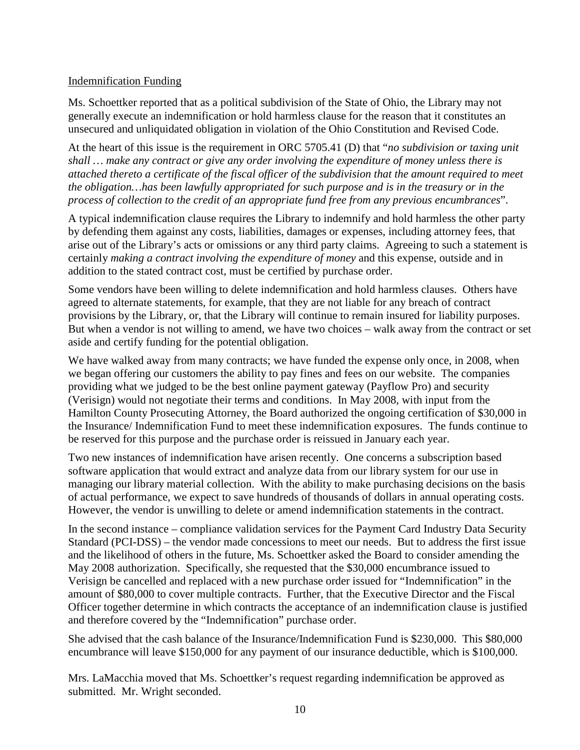# Indemnification Funding

Ms. Schoettker reported that as a political subdivision of the State of Ohio, the Library may not generally execute an indemnification or hold harmless clause for the reason that it constitutes an unsecured and unliquidated obligation in violation of the Ohio Constitution and Revised Code.

At the heart of this issue is the requirement in ORC 5705.41 (D) that "*no subdivision or taxing unit shall … make any contract or give any order involving the expenditure of money unless there is attached thereto a certificate of the fiscal officer of the subdivision that the amount required to meet the obligation…has been lawfully appropriated for such purpose and is in the treasury or in the process of collection to the credit of an appropriate fund free from any previous encumbrances*".

A typical indemnification clause requires the Library to indemnify and hold harmless the other party by defending them against any costs, liabilities, damages or expenses, including attorney fees, that arise out of the Library's acts or omissions or any third party claims. Agreeing to such a statement is certainly *making a contract involving the expenditure of money* and this expense, outside and in addition to the stated contract cost, must be certified by purchase order.

Some vendors have been willing to delete indemnification and hold harmless clauses. Others have agreed to alternate statements, for example, that they are not liable for any breach of contract provisions by the Library, or, that the Library will continue to remain insured for liability purposes. But when a vendor is not willing to amend, we have two choices – walk away from the contract or set aside and certify funding for the potential obligation.

We have walked away from many contracts; we have funded the expense only once, in 2008, when we began offering our customers the ability to pay fines and fees on our website. The companies providing what we judged to be the best online payment gateway (Payflow Pro) and security (Verisign) would not negotiate their terms and conditions. In May 2008, with input from the Hamilton County Prosecuting Attorney, the Board authorized the ongoing certification of \$30,000 in the Insurance/ Indemnification Fund to meet these indemnification exposures. The funds continue to be reserved for this purpose and the purchase order is reissued in January each year.

Two new instances of indemnification have arisen recently. One concerns a subscription based software application that would extract and analyze data from our library system for our use in managing our library material collection. With the ability to make purchasing decisions on the basis of actual performance, we expect to save hundreds of thousands of dollars in annual operating costs. However, the vendor is unwilling to delete or amend indemnification statements in the contract.

In the second instance – compliance validation services for the Payment Card Industry Data Security Standard (PCI-DSS) – the vendor made concessions to meet our needs. But to address the first issue and the likelihood of others in the future, Ms. Schoettker asked the Board to consider amending the May 2008 authorization. Specifically, she requested that the \$30,000 encumbrance issued to Verisign be cancelled and replaced with a new purchase order issued for "Indemnification" in the amount of \$80,000 to cover multiple contracts. Further, that the Executive Director and the Fiscal Officer together determine in which contracts the acceptance of an indemnification clause is justified and therefore covered by the "Indemnification" purchase order.

She advised that the cash balance of the Insurance/Indemnification Fund is \$230,000. This \$80,000 encumbrance will leave \$150,000 for any payment of our insurance deductible, which is \$100,000.

Mrs. LaMacchia moved that Ms. Schoettker's request regarding indemnification be approved as submitted. Mr. Wright seconded.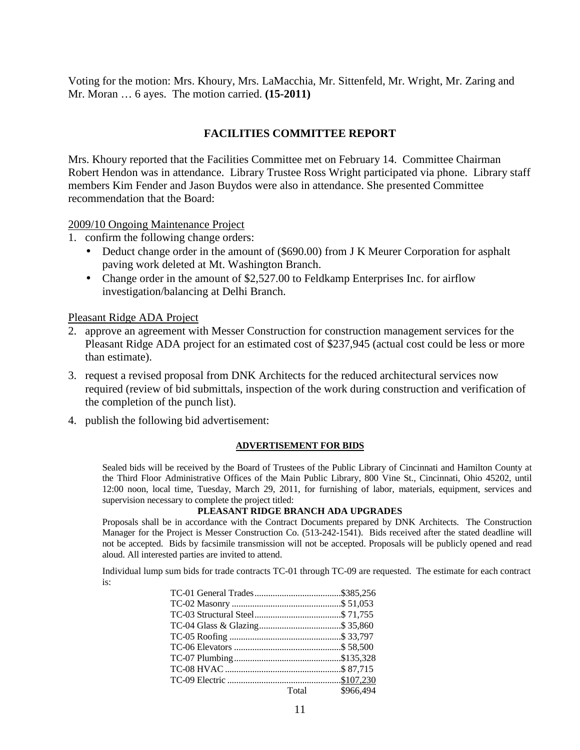Voting for the motion: Mrs. Khoury, Mrs. LaMacchia, Mr. Sittenfeld, Mr. Wright, Mr. Zaring and Mr. Moran … 6 ayes. The motion carried. **(15-2011)**

# **FACILITIES COMMITTEE REPORT**

Mrs. Khoury reported that the Facilities Committee met on February 14. Committee Chairman Robert Hendon was in attendance. Library Trustee Ross Wright participated via phone. Library staff members Kim Fender and Jason Buydos were also in attendance. She presented Committee recommendation that the Board:

2009/10 Ongoing Maintenance Project

- 1. confirm the following change orders:
	- Deduct change order in the amount of (\$690.00) from J K Meurer Corporation for asphalt paving work deleted at Mt. Washington Branch.
	- Change order in the amount of \$2,527.00 to Feldkamp Enterprises Inc. for airflow investigation/balancing at Delhi Branch.

Pleasant Ridge ADA Project

- 2. approve an agreement with Messer Construction for construction management services for the Pleasant Ridge ADA project for an estimated cost of \$237,945 (actual cost could be less or more than estimate).
- 3. request a revised proposal from DNK Architects for the reduced architectural services now required (review of bid submittals, inspection of the work during construction and verification of the completion of the punch list).
- 4. publish the following bid advertisement:

#### **ADVERTISEMENT FOR BIDS**

Sealed bids will be received by the Board of Trustees of the Public Library of Cincinnati and Hamilton County at the Third Floor Administrative Offices of the Main Public Library, 800 Vine St., Cincinnati, Ohio 45202, until 12:00 noon, local time, Tuesday, March 29, 2011, for furnishing of labor, materials, equipment, services and supervision necessary to complete the project titled:

#### **PLEASANT RIDGE BRANCH ADA UPGRADES**

Proposals shall be in accordance with the Contract Documents prepared by DNK Architects. The Construction Manager for the Project is Messer Construction Co. (513-242-1541). Bids received after the stated deadline will not be accepted. Bids by facsimile transmission will not be accepted. Proposals will be publicly opened and read aloud. All interested parties are invited to attend.

Individual lump sum bids for trade contracts TC-01 through TC-09 are requested. The estimate for each contract is:

| Total \$966,494 |
|-----------------|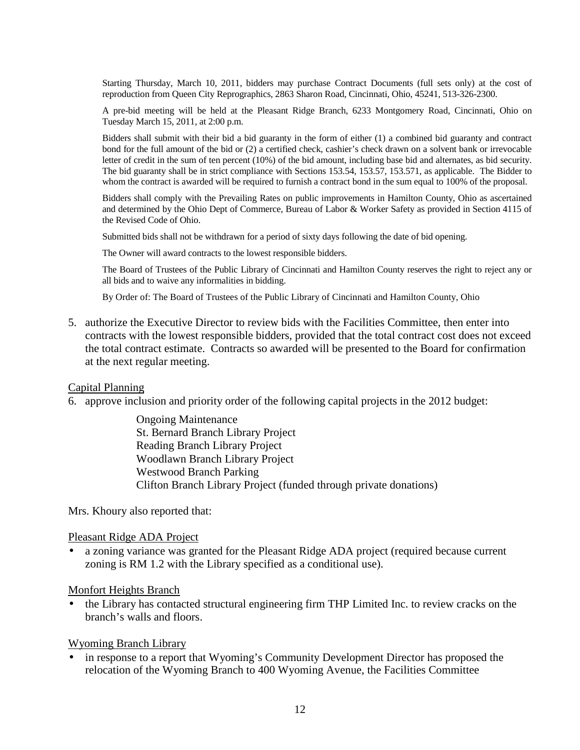Starting Thursday, March 10, 2011, bidders may purchase Contract Documents (full sets only) at the cost of reproduction from Queen City Reprographics, 2863 Sharon Road, Cincinnati, Ohio, 45241, 513-326-2300.

A pre-bid meeting will be held at the Pleasant Ridge Branch, 6233 Montgomery Road, Cincinnati, Ohio on Tuesday March 15, 2011, at 2:00 p.m.

Bidders shall submit with their bid a bid guaranty in the form of either (1) a combined bid guaranty and contract bond for the full amount of the bid or (2) a certified check, cashier's check drawn on a solvent bank or irrevocable letter of credit in the sum of ten percent (10%) of the bid amount, including base bid and alternates, as bid security. The bid guaranty shall be in strict compliance with Sections 153.54, 153.57, 153.571, as applicable. The Bidder to whom the contract is awarded will be required to furnish a contract bond in the sum equal to 100% of the proposal.

Bidders shall comply with the Prevailing Rates on public improvements in Hamilton County, Ohio as ascertained and determined by the Ohio Dept of Commerce, Bureau of Labor & Worker Safety as provided in Section 4115 of the Revised Code of Ohio.

Submitted bids shall not be withdrawn for a period of sixty days following the date of bid opening.

The Owner will award contracts to the lowest responsible bidders.

The Board of Trustees of the Public Library of Cincinnati and Hamilton County reserves the right to reject any or all bids and to waive any informalities in bidding.

By Order of: The Board of Trustees of the Public Library of Cincinnati and Hamilton County, Ohio

5. authorize the Executive Director to review bids with the Facilities Committee, then enter into contracts with the lowest responsible bidders, provided that the total contract cost does not exceed the total contract estimate. Contracts so awarded will be presented to the Board for confirmation at the next regular meeting.

#### Capital Planning

6. approve inclusion and priority order of the following capital projects in the 2012 budget:

Ongoing Maintenance St. Bernard Branch Library Project Reading Branch Library Project Woodlawn Branch Library Project Westwood Branch Parking Clifton Branch Library Project (funded through private donations)

Mrs. Khoury also reported that:

#### Pleasant Ridge ADA Project

• a zoning variance was granted for the Pleasant Ridge ADA project (required because current zoning is RM 1.2 with the Library specified as a conditional use).

#### Monfort Heights Branch

• the Library has contacted structural engineering firm THP Limited Inc. to review cracks on the branch's walls and floors.

#### Wyoming Branch Library

• in response to a report that Wyoming's Community Development Director has proposed the relocation of the Wyoming Branch to 400 Wyoming Avenue, the Facilities Committee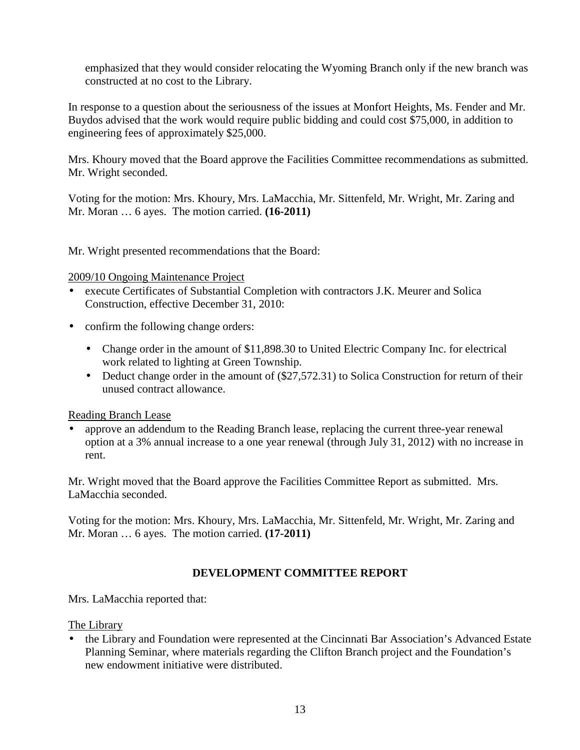emphasized that they would consider relocating the Wyoming Branch only if the new branch was constructed at no cost to the Library.

In response to a question about the seriousness of the issues at Monfort Heights, Ms. Fender and Mr. Buydos advised that the work would require public bidding and could cost \$75,000, in addition to engineering fees of approximately \$25,000.

Mrs. Khoury moved that the Board approve the Facilities Committee recommendations as submitted. Mr. Wright seconded.

Voting for the motion: Mrs. Khoury, Mrs. LaMacchia, Mr. Sittenfeld, Mr. Wright, Mr. Zaring and Mr. Moran … 6 ayes. The motion carried. **(16-2011)**

Mr. Wright presented recommendations that the Board:

2009/10 Ongoing Maintenance Project

- execute Certificates of Substantial Completion with contractors J.K. Meurer and Solica Construction, effective December 31, 2010:
- confirm the following change orders:
	- Change order in the amount of \$11,898.30 to United Electric Company Inc. for electrical work related to lighting at Green Township.
	- Deduct change order in the amount of (\$27,572.31) to Solica Construction for return of their unused contract allowance.

Reading Branch Lease

• approve an addendum to the Reading Branch lease, replacing the current three-year renewal option at a 3% annual increase to a one year renewal (through July 31, 2012) with no increase in rent.

Mr. Wright moved that the Board approve the Facilities Committee Report as submitted. Mrs. LaMacchia seconded.

Voting for the motion: Mrs. Khoury, Mrs. LaMacchia, Mr. Sittenfeld, Mr. Wright, Mr. Zaring and Mr. Moran … 6 ayes. The motion carried. **(17-2011)** 

# **DEVELOPMENT COMMITTEE REPORT**

Mrs. LaMacchia reported that:

The Library

• the Library and Foundation were represented at the Cincinnati Bar Association's Advanced Estate Planning Seminar, where materials regarding the Clifton Branch project and the Foundation's new endowment initiative were distributed.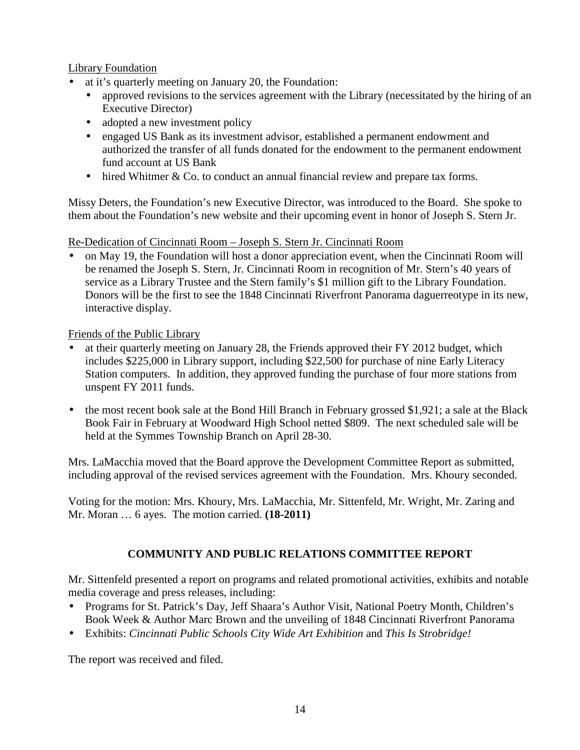# Library Foundation

- at it's quarterly meeting on January 20, the Foundation:
	- approved revisions to the services agreement with the Library (necessitated by the hiring of an Executive Director)
	- adopted a new investment policy
	- engaged US Bank as its investment advisor, established a permanent endowment and authorized the transfer of all funds donated for the endowment to the permanent endowment fund account at US Bank
	- hired Whitmer & Co. to conduct an annual financial review and prepare tax forms.

Missy Deters, the Foundation's new Executive Director, was introduced to the Board. She spoke to them about the Foundation's new website and their upcoming event in honor of Joseph S. Stern Jr.

Re-Dedication of Cincinnati Room – Joseph S. Stern Jr. Cincinnati Room

• on May 19, the Foundation will host a donor appreciation event, when the Cincinnati Room will be renamed the Joseph S. Stern, Jr. Cincinnati Room in recognition of Mr. Stern's 40 years of service as a Library Trustee and the Stern family's \$1 million gift to the Library Foundation. Donors will be the first to see the 1848 Cincinnati Riverfront Panorama daguerreotype in its new, interactive display.

Friends of the Public Library

- at their quarterly meeting on January 28, the Friends approved their FY 2012 budget, which includes \$225,000 in Library support, including \$22,500 for purchase of nine Early Literacy Station computers. In addition, they approved funding the purchase of four more stations from unspent FY 2011 funds.
- the most recent book sale at the Bond Hill Branch in February grossed \$1,921; a sale at the Black Book Fair in February at Woodward High School netted \$809. The next scheduled sale will be held at the Symmes Township Branch on April 28-30.

Mrs. LaMacchia moved that the Board approve the Development Committee Report as submitted, including approval of the revised services agreement with the Foundation. Mrs. Khoury seconded.

Voting for the motion: Mrs. Khoury, Mrs. LaMacchia, Mr. Sittenfeld, Mr. Wright, Mr. Zaring and Mr. Moran … 6 ayes. The motion carried. **(18-2011)** 

# **COMMUNITY AND PUBLIC RELATIONS COMMITTEE REPORT**

Mr. Sittenfeld presented a report on programs and related promotional activities, exhibits and notable media coverage and press releases, including:

- Programs for St. Patrick's Day, Jeff Shaara's Author Visit, National Poetry Month, Children's Book Week & Author Marc Brown and the unveiling of 1848 Cincinnati Riverfront Panorama
- Exhibits: *Cincinnati Public Schools City Wide Art Exhibition* and *This Is Strobridge!*

The report was received and filed.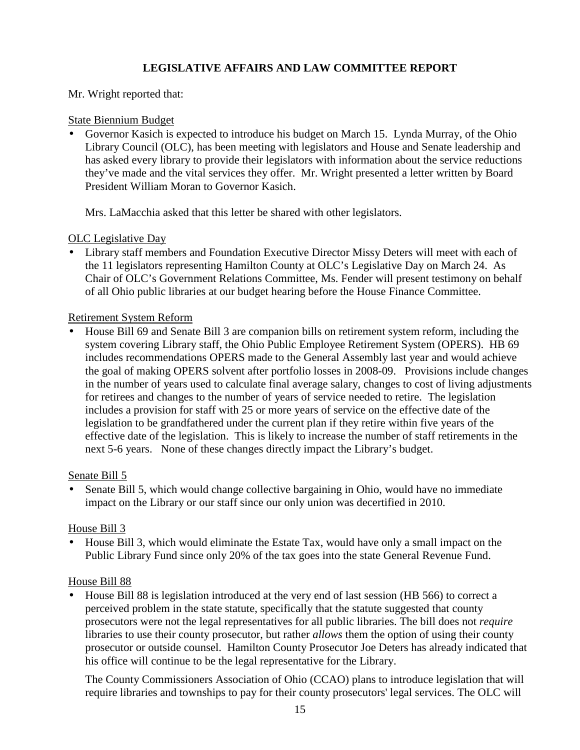# **LEGISLATIVE AFFAIRS AND LAW COMMITTEE REPORT**

## Mr. Wright reported that:

### State Biennium Budget

• Governor Kasich is expected to introduce his budget on March 15. Lynda Murray, of the Ohio Library Council (OLC), has been meeting with legislators and House and Senate leadership and has asked every library to provide their legislators with information about the service reductions they've made and the vital services they offer. Mr. Wright presented a letter written by Board President William Moran to Governor Kasich.

Mrs. LaMacchia asked that this letter be shared with other legislators.

### OLC Legislative Day

• Library staff members and Foundation Executive Director Missy Deters will meet with each of the 11 legislators representing Hamilton County at OLC's Legislative Day on March 24. As Chair of OLC's Government Relations Committee, Ms. Fender will present testimony on behalf of all Ohio public libraries at our budget hearing before the House Finance Committee.

### Retirement System Reform

• House Bill 69 and Senate Bill 3 are companion bills on retirement system reform, including the system covering Library staff, the Ohio Public Employee Retirement System (OPERS). HB 69 includes recommendations OPERS made to the General Assembly last year and would achieve the goal of making OPERS solvent after portfolio losses in 2008-09. Provisions include changes in the number of years used to calculate final average salary, changes to cost of living adjustments for retirees and changes to the number of years of service needed to retire. The legislation includes a provision for staff with 25 or more years of service on the effective date of the legislation to be grandfathered under the current plan if they retire within five years of the effective date of the legislation. This is likely to increase the number of staff retirements in the next 5-6 years. None of these changes directly impact the Library's budget.

#### Senate Bill 5

• Senate Bill 5, which would change collective bargaining in Ohio, would have no immediate impact on the Library or our staff since our only union was decertified in 2010.

# House Bill 3

• House Bill 3, which would eliminate the Estate Tax, would have only a small impact on the Public Library Fund since only 20% of the tax goes into the state General Revenue Fund.

#### House Bill 88

• House Bill 88 is legislation introduced at the very end of last session (HB 566) to correct a perceived problem in the state statute, specifically that the statute suggested that county prosecutors were not the legal representatives for all public libraries. The bill does not *require* libraries to use their county prosecutor, but rather *allows* them the option of using their county prosecutor or outside counsel. Hamilton County Prosecutor Joe Deters has already indicated that his office will continue to be the legal representative for the Library.

The County Commissioners Association of Ohio (CCAO) plans to introduce legislation that will require libraries and townships to pay for their county prosecutors' legal services. The OLC will